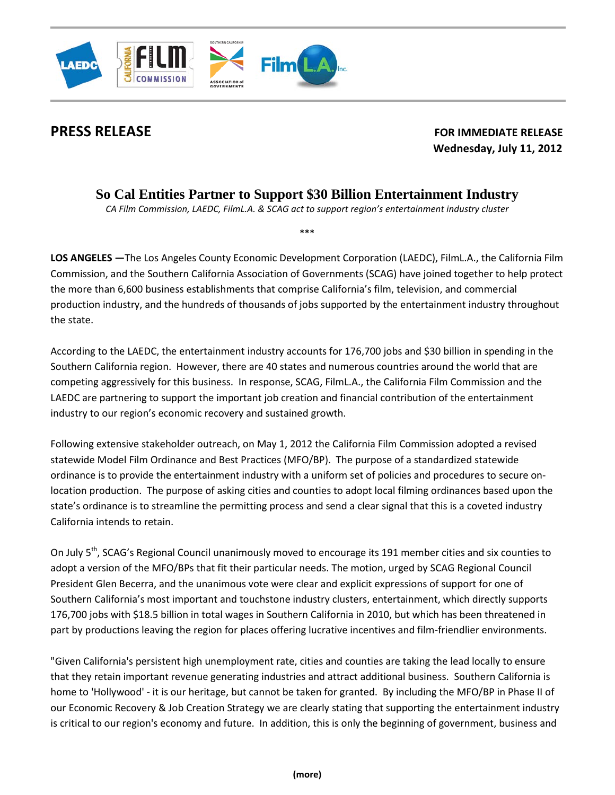

**PRESS RELEASE** FOR IMMEDIATE RELEASE  **Wednesday, July 11, 2012**

# **So Cal Entities Partner to Support \$30 Billion Entertainment Industry**

*CA Film Commission, LAEDC, FilmL.A. & SCAG act to support region's entertainment industry cluster*

**\*\*\***

**LOS ANGELES —**The Los Angeles County Economic Development Corporation (LAEDC), FilmL.A., the California Film Commission, and the Southern California Association of Governments (SCAG) have joined together to help protect the more than 6,600 business establishments that comprise California's film, television, and commercial production industry, and the hundreds of thousands of jobs supported by the entertainment industry throughout the state.

According to the LAEDC, the entertainment industry accounts for 176,700 jobs and \$30 billion in spending in the Southern California region. However, there are 40 states and numerous countries around the world that are competing aggressively for this business. In response, SCAG, FilmL.A., the California Film Commission and the LAEDC are partnering to support the important job creation and financial contribution of the entertainment industry to our region's economic recovery and sustained growth.

Following extensive stakeholder outreach, on May 1, 2012 the California Film Commission adopted a revised statewide Model Film Ordinance and Best Practices (MFO/BP). The purpose of a standardized statewide ordinance is to provide the entertainment industry with a uniform set of policies and procedures to secure onlocation production. The purpose of asking cities and counties to adopt local filming ordinances based upon the state's ordinance is to streamline the permitting process and send a clear signal that this is a coveted industry California intends to retain.

On July 5<sup>th</sup>, SCAG's Regional Council unanimously moved to encourage its 191 member cities and six counties to adopt a version of the MFO/BPs that fit their particular needs. The motion, urged by SCAG Regional Council President Glen Becerra, and the unanimous vote were clear and explicit expressions of support for one of Southern California's most important and touchstone industry clusters, entertainment, which directly supports 176,700 jobs with \$18.5 billion in total wages in Southern California in 2010, but which has been threatened in part by productions leaving the region for places offering lucrative incentives and film-friendlier environments.

"Given California's persistent high unemployment rate, cities and counties are taking the lead locally to ensure that they retain important revenue generating industries and attract additional business. Southern California is home to 'Hollywood' - it is our heritage, but cannot be taken for granted. By including the MFO/BP in Phase II of our Economic Recovery & Job Creation Strategy we are clearly stating that supporting the entertainment industry is critical to our region's economy and future. In addition, this is only the beginning of government, business and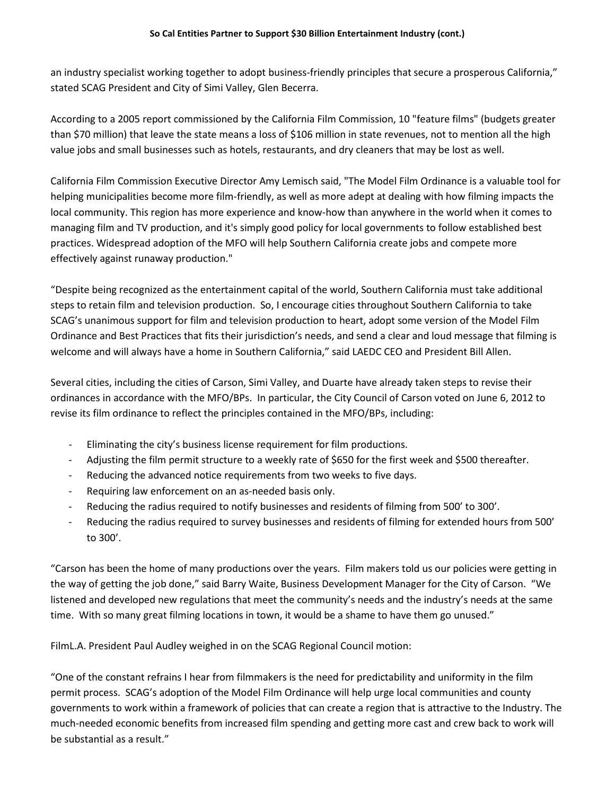an industry specialist working together to adopt business-friendly principles that secure a prosperous California," stated SCAG President and City of Simi Valley, Glen Becerra.

According to a 2005 report commissioned by the California Film Commission, 10 "feature films" (budgets greater than \$70 million) that leave the state means a loss of \$106 million in state revenues, not to mention all the high value jobs and small businesses such as hotels, restaurants, and dry cleaners that may be lost as well.

California Film Commission Executive Director Amy Lemisch said, "The Model Film Ordinance is a valuable tool for helping municipalities become more film-friendly, as well as more adept at dealing with how filming impacts the local community. This region has more experience and know-how than anywhere in the world when it comes to managing film and TV production, and it's simply good policy for local governments to follow established best practices. Widespread adoption of the MFO will help Southern California create jobs and compete more effectively against runaway production."

"Despite being recognized as the entertainment capital of the world, Southern California must take additional steps to retain film and television production. So, I encourage cities throughout Southern California to take SCAG's unanimous support for film and television production to heart, adopt some version of the Model Film Ordinance and Best Practices that fits their jurisdiction's needs, and send a clear and loud message that filming is welcome and will always have a home in Southern California," said LAEDC CEO and President Bill Allen.

Several cities, including the cities of Carson, Simi Valley, and Duarte have already taken steps to revise their ordinances in accordance with the MFO/BPs. In particular, the City Council of Carson voted on June 6, 2012 to revise its film ordinance to reflect the principles contained in the MFO/BPs, including:

- Eliminating the city's business license requirement for film productions.
- Adjusting the film permit structure to a weekly rate of \$650 for the first week and \$500 thereafter.
- Reducing the advanced notice requirements from two weeks to five days.
- Requiring law enforcement on an as-needed basis only.
- Reducing the radius required to notify businesses and residents of filming from 500' to 300'.
- Reducing the radius required to survey businesses and residents of filming for extended hours from 500' to 300'.

"Carson has been the home of many productions over the years. Film makers told us our policies were getting in the way of getting the job done," said Barry Waite, Business Development Manager for the City of Carson. "We listened and developed new regulations that meet the community's needs and the industry's needs at the same time. With so many great filming locations in town, it would be a shame to have them go unused."

FilmL.A. President Paul Audley weighed in on the SCAG Regional Council motion:

"One of the constant refrains I hear from filmmakers is the need for predictability and uniformity in the film permit process. SCAG's adoption of the Model Film Ordinance will help urge local communities and county governments to work within a framework of policies that can create a region that is attractive to the Industry. The much-needed economic benefits from increased film spending and getting more cast and crew back to work will be substantial as a result."